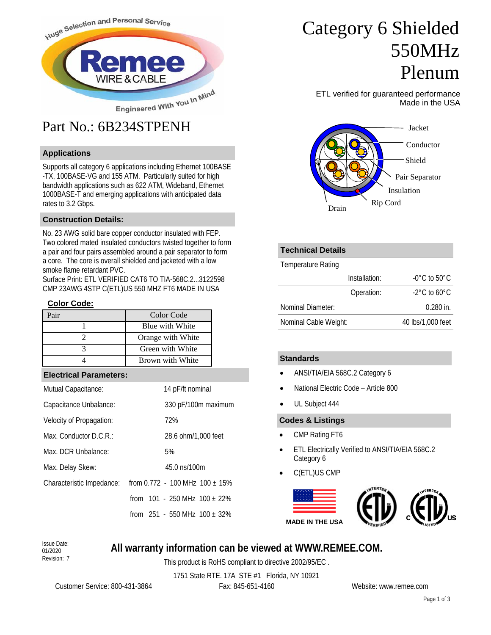

# Part No.: 6B234STPENH

## **Applications**

Supports all category 6 applications including Ethernet 100BASE -TX, 100BASE-VG and 155 ATM. Particularly suited for high bandwidth applications such as 622 ATM, Wideband, Ethernet 1000BASE-T and emerging applications with anticipated data rates to 3.2 Gbps.

### **Construction Details:**

No. 23 AWG solid bare copper conductor insulated with FEP. Two colored mated insulated conductors twisted together to form a pair and four pairs assembled around a pair separator to form a core. The core is overall shielded and jacketed with a low smoke flame retardant PVC.

Surface Print: ETL VERIFIED CAT6 TO TIA-568C.2...3122598 CMP 23AWG 4STP C(ETL)US 550 MHZ FT6 MADE IN USA

#### **Color Code:**

| Color Code        |
|-------------------|
| Blue with White   |
| Orange with White |
| Green with White  |
| Brown with White  |

#### **Electrical Parameters:**

| Mutual Capacitance:       | 14 pF/ft nominal                    |
|---------------------------|-------------------------------------|
| Capacitance Unbalance:    | 330 pF/100m maximum                 |
| Velocity of Propagation:  | 72%                                 |
| Max. Conductor $D.C.R.:$  | 28.6 ohm/1,000 feet                 |
| Max. DCR Unbalance:       | 5%                                  |
| Max. Delay Skew:          | 45.0 ns/100m                        |
| Characteristic Impedance: | from $0.772 - 100$ MHz $100 + 15\%$ |
|                           | from $101 - 250$ MHz $100 + 22\%$   |
|                           | from $251 - 550$ MHz $100 + 32\%$   |

# Category 6 Shielded 550MHz Plenum

ETL verified for guaranteed performance Made in the USA



# **Technical Details**

Temperature Rating

| Installation:         | $-0^{\circ}$ C to 50 $^{\circ}$ C |  |  |
|-----------------------|-----------------------------------|--|--|
| Operation:            | $-2^{\circ}$ C to 60 $^{\circ}$ C |  |  |
| Nominal Diameter:     | $0.280$ in.                       |  |  |
| Nominal Cable Weight: | 40 lbs/1,000 feet                 |  |  |

## **Standards**

- ANSI/TIA/EIA 568C.2 Category 6
- National Electric Code Article 800
- UL Subject 444

### **Codes & Listings**

- CMP Rating FT6
- ETL Electrically Verified to ANSI/TIA/EIA 568C.2 Category 6
- C(ETL)US CMP



#### Issue Date: 01/2020 Revision: 7

## **All warranty information can be viewed at WWW.REMEE.COM.**

This product is RoHS compliant to directive 2002/95/EC .

1751 State RTE. 17A STE #1 Florida, NY 10921

Customer Service: 800-431-3864 Fax: 845-651-4160 Website: www.remee.com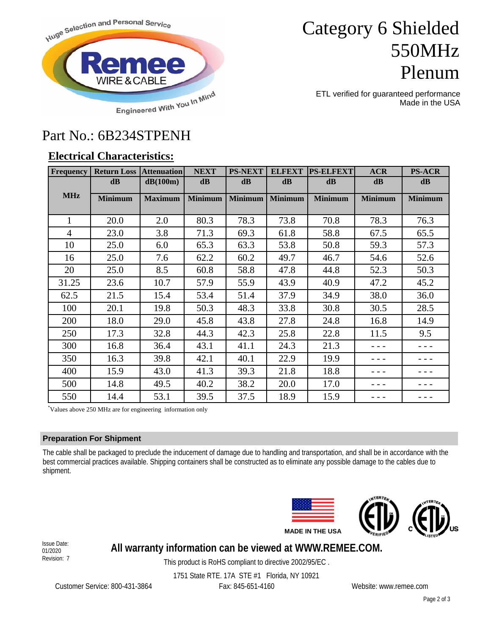

# Category 6 Shielded 550MHz Plenum

ETL verified for guaranteed performance Made in the USA

## Part No.: 6B234STPENH

## **Electrical Characteristics:**

| <b>Frequency</b> | <b>Return Loss Attenuation</b>                            |                | <b>NEXT</b>    | <b>PS-NEXT</b> | <b>ELFEXT</b>  | <b>PS-ELFEXT</b> | <b>ACR</b>     | <b>PS-ACR</b>  |
|------------------|-----------------------------------------------------------|----------------|----------------|----------------|----------------|------------------|----------------|----------------|
|                  | $\mathbf{dB}$                                             | dB(100m)       | $\mathbf{dB}$  | $\mathbf{dB}$  | dB             | $\mathbf{dB}$    | $\mathbf{dB}$  | $\mathbf{dB}$  |
| <b>MHz</b>       | <b>Minimum</b>                                            | <b>Maximum</b> | <b>Minimum</b> | <b>Minimum</b> | <b>Minimum</b> | <b>Minimum</b>   | <b>Minimum</b> | <b>Minimum</b> |
|                  |                                                           |                |                |                |                |                  |                |                |
| $\mathbf{1}$     | 20.0                                                      | 2.0            | 80.3           | 78.3           | 73.8           | 70.8             | 78.3           | 76.3           |
| $\overline{4}$   | 23.0                                                      | 3.8            | 71.3           | 69.3           | 61.8           | 58.8             | 67.5           | 65.5           |
| 10               | 25.0                                                      | 6.0            | 65.3           | 63.3           | 53.8           | 50.8             | 59.3           | 57.3           |
| 16               | 25.0                                                      | 7.6            | 62.2           | 60.2           | 49.7           | 46.7             | 54.6           | 52.6           |
| 20               | 25.0                                                      | 8.5            | 60.8           | 58.8           | 47.8           | 44.8             | 52.3           | 50.3           |
| 31.25            | 23.6                                                      | 10.7           | 57.9           | 55.9           | 43.9           | 40.9             | 47.2           | 45.2           |
| 62.5             | 21.5                                                      | 15.4           | 53.4           | 51.4           | 37.9           | 34.9             | 38.0           | 36.0           |
| 100              | 20.1                                                      | 19.8           | 50.3           | 48.3           | 33.8           | 30.8             | 30.5           | 28.5           |
| 200              | 18.0                                                      | 29.0           | 45.8           | 43.8           | 27.8           | 24.8             | 16.8           | 14.9           |
| 250              | 17.3                                                      | 32.8           | 44.3           | 42.3           | 25.8           | 22.8             | 11.5           | 9.5            |
| 300              | 16.8                                                      | 36.4           | 43.1           | 41.1           | 24.3           | 21.3             | - - -          |                |
| 350              | 16.3                                                      | 39.8           | 42.1           | 40.1           | 22.9           | 19.9             |                |                |
| 400              | 15.9                                                      | 43.0           | 41.3           | 39.3           | 21.8           | 18.8             |                |                |
| 500              | 14.8                                                      | 49.5           | 40.2           | 38.2           | 20.0           | 17.0             |                |                |
| 550              | 14.4                                                      | 53.1           | 39.5           | 37.5           | 18.9           | 15.9             |                |                |
|                  | Values above 250 MHz are for engineering information only |                |                |                |                |                  |                |                |

### **Preparation For Shipment**

The cable shall be packaged to preclude the inducement of damage due to handling and transportation, and shall be in accordance with the best commercial practices available. Shipping containers shall be constructed as to eliminate any possible damage to the cables due to shipment.





Issue Date: 01/2020 Revision: 7

## **All warranty information can be viewed at WWW.REMEE.COM.**

This product is RoHS compliant to directive 2002/95/EC .

1751 State RTE. 17A STE #1 Florida, NY 10921

Customer Service: 800-431-3864 Fax: 845-651-4160 Website: www.remee.com